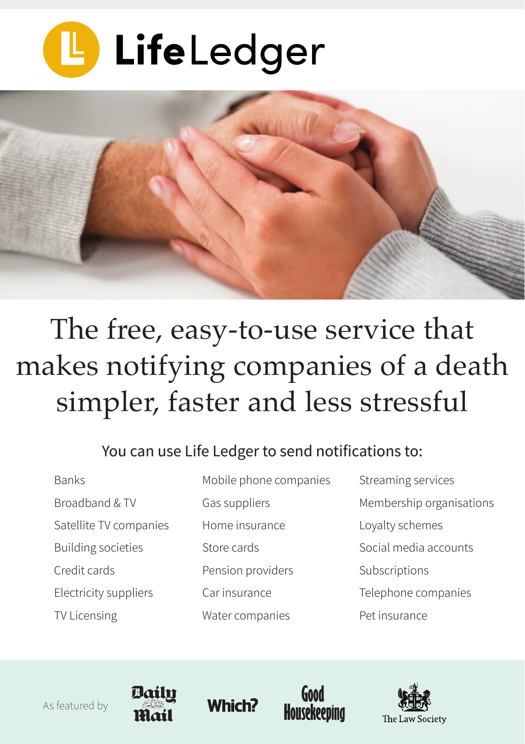



## The free, easy-to-use service that makes notifying companies of a death simpler, faster and less stressful

## You can use Life Ledger to send notifications to:

- Banks Broadband & TV Satellite TV companies Building societies Credit cards Electricity suppliers TV Licensing
- Mobile phone companies Gas suppliers Home insurance Store cards Pension providers Car insurance Water companies
- Streaming services Membership organisations Loyalty schemes Social media accounts Subscriptions Telephone companies Pet insurance